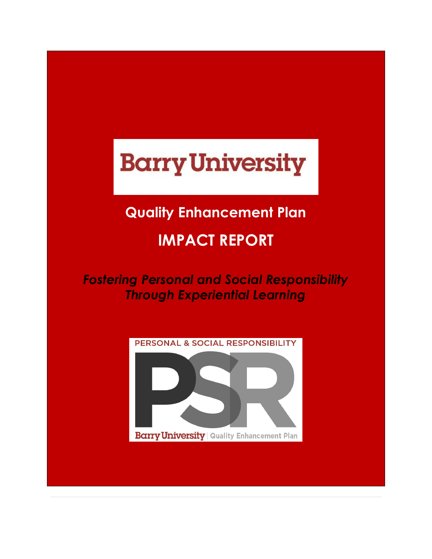# **Barry University**

# **Quality Enhancement Plan**

# **IMPACT REPORT**

*Fostering Personal and Social Responsibility Through Experiential Learning*

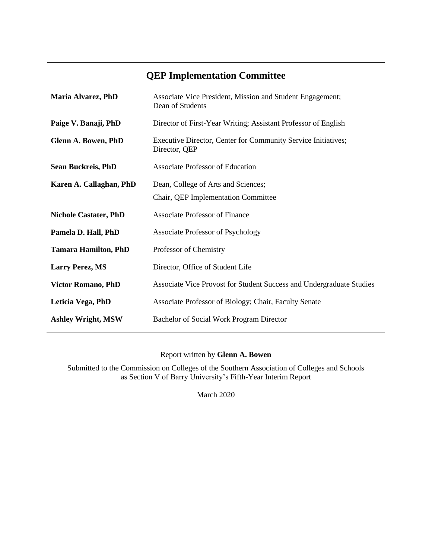## **QEP Implementation Committee**

| Maria Alvarez, PhD           | Associate Vice President, Mission and Student Engagement;<br>Dean of Students  |
|------------------------------|--------------------------------------------------------------------------------|
| Paige V. Banaji, PhD         | Director of First-Year Writing; Assistant Professor of English                 |
| Glenn A. Bowen, PhD          | Executive Director, Center for Community Service Initiatives;<br>Director, QEP |
| <b>Sean Buckreis, PhD</b>    | <b>Associate Professor of Education</b>                                        |
| Karen A. Callaghan, PhD      | Dean, College of Arts and Sciences;                                            |
|                              | Chair, QEP Implementation Committee                                            |
| <b>Nichole Castater, PhD</b> | <b>Associate Professor of Finance</b>                                          |
| Pamela D. Hall, PhD          | <b>Associate Professor of Psychology</b>                                       |
| <b>Tamara Hamilton, PhD</b>  | Professor of Chemistry                                                         |
| <b>Larry Perez, MS</b>       | Director, Office of Student Life                                               |
| <b>Victor Romano, PhD</b>    | Associate Vice Provost for Student Success and Undergraduate Studies           |
| Leticia Vega, PhD            | Associate Professor of Biology; Chair, Faculty Senate                          |
| <b>Ashley Wright, MSW</b>    | Bachelor of Social Work Program Director                                       |

Report written by **Glenn A. Bowen**

Submitted to the Commission on Colleges of the Southern Association of Colleges and Schools as Section V of Barry University's Fifth-Year Interim Report

March 2020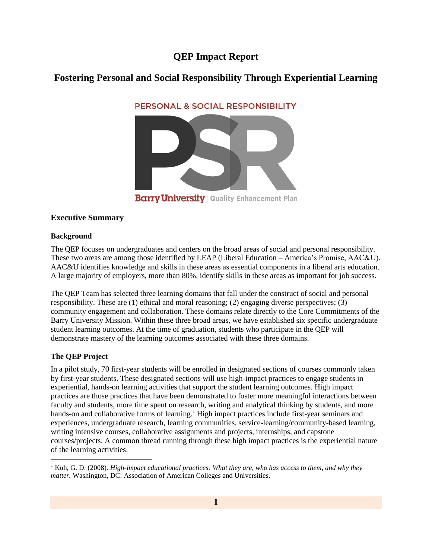### **QEP Impact Report**

### **Fostering Personal and Social Responsibility Through Experiential Learning**

PERSONAL & SOCIAL RESPONSIBILITY



**Barry University | Quality Enhancement Plan** 

#### **Executive Summary**

#### **Background**

The QEP focuses on undergraduates and centers on the broad areas of social and personal responsibility. These two areas are among those identified by LEAP (Liberal Education – America's Promise, AAC&U). AAC&U identifies knowledge and skills in these areas as essential components in a liberal arts education. A large majority of employers, more than 80%, identify skills in these areas as important for job success.

The QEP Team has selected three learning domains that fall under the construct of social and personal responsibility. These are (1) ethical and moral reasoning; (2) engaging diverse perspectives; (3) community engagement and collaboration. These domains relate directly to the Core Commitments of the Barry University Mission. Within these three broad areas, we have established six specific undergraduate student learning outcomes. At the time of graduation, students who participate in the QEP will demonstrate mastery of the learning outcomes associated with these three domains.

#### **The QEP Project**

 $\overline{\phantom{a}}$ 

In a pilot study, 70 first-year students will be enrolled in designated sections of courses commonly taken by first-year students. These designated sections will use high-impact practices to engage students in experiential, hands-on learning activities that support the student learning outcomes. High impact practices are those practices that have been demonstrated to foster more meaningful interactions between faculty and students, more time spent on research, writing and analytical thinking by students, and more hands-on and collaborative forms of learning.<sup>1</sup> High impact practices include first-year seminars and experiences, undergraduate research, learning communities, service-learning/community-based learning, writing intensive courses, collaborative assignments and projects, internships, and capstone courses/projects. A common thread running through these high impact practices is the experiential nature of the learning activities.

<sup>1</sup> Kuh, G. D. (2008). *High-impact educational practices: What they are, who has access to them, and why they matter.* Washington, DC: Association of American Colleges and Universities.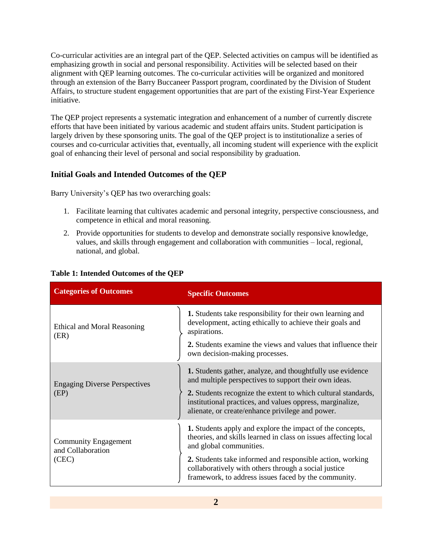Co-curricular activities are an integral part of the QEP. Selected activities on campus will be identified as emphasizing growth in social and personal responsibility. Activities will be selected based on their alignment with QEP learning outcomes. The co-curricular activities will be organized and monitored through an extension of the Barry Buccaneer Passport program, coordinated by the Division of Student Affairs, to structure student engagement opportunities that are part of the existing First-Year Experience initiative.

The QEP project represents a systematic integration and enhancement of a number of currently discrete efforts that have been initiated by various academic and student affairs units. Student participation is largely driven by these sponsoring units. The goal of the QEP project is to institutionalize a series of courses and co-curricular activities that, eventually, all incoming student will experience with the explicit goal of enhancing their level of personal and social responsibility by graduation.

#### **Initial Goals and Intended Outcomes of the QEP**

Barry University's QEP has two overarching goals:

- 1. Facilitate learning that cultivates academic and personal integrity, perspective consciousness, and competence in ethical and moral reasoning.
- 2. Provide opportunities for students to develop and demonstrate socially responsive knowledge, values, and skills through engagement and collaboration with communities – local, regional, national, and global.

| <b>Categories of Outcomes</b>                             | <b>Specific Outcomes</b>                                                                                                                                                                                                                                                                                     |
|-----------------------------------------------------------|--------------------------------------------------------------------------------------------------------------------------------------------------------------------------------------------------------------------------------------------------------------------------------------------------------------|
| Ethical and Moral Reasoning<br>(ER)                       | <b>1.</b> Students take responsibility for their own learning and<br>development, acting ethically to achieve their goals and<br>aspirations.                                                                                                                                                                |
|                                                           | 2. Students examine the views and values that influence their<br>own decision-making processes.                                                                                                                                                                                                              |
| <b>Engaging Diverse Perspectives</b><br>(EP)              | <b>1.</b> Students gather, analyze, and thoughtfully use evidence<br>and multiple perspectives to support their own ideas.<br>2. Students recognize the extent to which cultural standards,<br>institutional practices, and values oppress, marginalize,<br>alienate, or create/enhance privilege and power. |
| <b>Community Engagement</b><br>and Collaboration<br>(CEC) | 1. Students apply and explore the impact of the concepts,<br>theories, and skills learned in class on issues affecting local<br>and global communities.                                                                                                                                                      |
|                                                           | 2. Students take informed and responsible action, working<br>collaboratively with others through a social justice<br>framework, to address issues faced by the community.                                                                                                                                    |

#### **Table 1: Intended Outcomes of the QEP**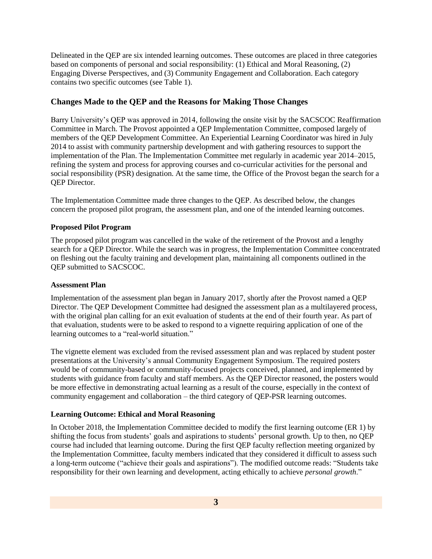Delineated in the QEP are six intended learning outcomes. These outcomes are placed in three categories based on components of personal and social responsibility: (1) Ethical and Moral Reasoning, (2) Engaging Diverse Perspectives, and (3) Community Engagement and Collaboration. Each category contains two specific outcomes (see Table 1).

#### **Changes Made to the QEP and the Reasons for Making Those Changes**

Barry University's QEP was approved in 2014, following the onsite visit by the SACSCOC Reaffirmation Committee in March. The Provost appointed a QEP Implementation Committee, composed largely of members of the QEP Development Committee. An Experiential Learning Coordinator was hired in July 2014 to assist with community partnership development and with gathering resources to support the implementation of the Plan. The Implementation Committee met regularly in academic year 2014–2015, refining the system and process for approving courses and co-curricular activities for the personal and social responsibility (PSR) designation. At the same time, the Office of the Provost began the search for a QEP Director.

The Implementation Committee made three changes to the QEP. As described below, the changes concern the proposed pilot program, the assessment plan, and one of the intended learning outcomes.

#### **Proposed Pilot Program**

The proposed pilot program was cancelled in the wake of the retirement of the Provost and a lengthy search for a QEP Director. While the search was in progress, the Implementation Committee concentrated on fleshing out the faculty training and development plan, maintaining all components outlined in the QEP submitted to SACSCOC.

#### **Assessment Plan**

Implementation of the assessment plan began in January 2017, shortly after the Provost named a QEP Director. The QEP Development Committee had designed the assessment plan as a multilayered process, with the original plan calling for an exit evaluation of students at the end of their fourth year. As part of that evaluation, students were to be asked to respond to a vignette requiring application of one of the learning outcomes to a "real-world situation."

The vignette element was excluded from the revised assessment plan and was replaced by student poster presentations at the University's annual Community Engagement Symposium. The required posters would be of community-based or community-focused projects conceived, planned, and implemented by students with guidance from faculty and staff members. As the QEP Director reasoned, the posters would be more effective in demonstrating actual learning as a result of the course, especially in the context of community engagement and collaboration – the third category of QEP-PSR learning outcomes.

#### **Learning Outcome: Ethical and Moral Reasoning**

In October 2018, the Implementation Committee decided to modify the first learning outcome (ER 1) by shifting the focus from students' goals and aspirations to students' personal growth. Up to then, no QEP course had included that learning outcome. During the first QEP faculty reflection meeting organized by the Implementation Committee, faculty members indicated that they considered it difficult to assess such a long-term outcome ("achieve their goals and aspirations"). The modified outcome reads: "Students take responsibility for their own learning and development, acting ethically to achieve *personal growth*."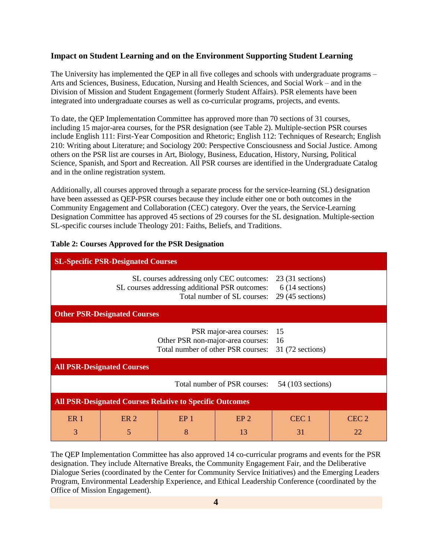#### **Impact on Student Learning and on the Environment Supporting Student Learning**

The University has implemented the QEP in all five colleges and schools with undergraduate programs – Arts and Sciences, Business, Education, Nursing and Health Sciences, and Social Work – and in the Division of Mission and Student Engagement (formerly Student Affairs). PSR elements have been integrated into undergraduate courses as well as co-curricular programs, projects, and events.

To date, the QEP Implementation Committee has approved more than 70 sections of 31 courses, including 15 major-area courses, for the PSR designation (see Table 2). Multiple-section PSR courses include English 111: First-Year Composition and Rhetoric; English 112: Techniques of Research; English 210: Writing about Literature; and Sociology 200: Perspective Consciousness and Social Justice. Among others on the PSR list are courses in Art, Biology, Business, Education, History, Nursing, Political Science, Spanish, and Sport and Recreation. All PSR courses are identified in the Undergraduate Catalog and in the online registration system.

Additionally, all courses approved through a separate process for the service-learning (SL) designation have been assessed as QEP-PSR courses because they include either one or both outcomes in the Community Engagement and Collaboration (CEC) category. Over the years, the Service-Learning Designation Committee has approved 45 sections of 29 courses for the SL designation. Multiple-section SL-specific courses include Theology 201: Faiths, Beliefs, and Traditions.

| <b>SL-Specific PSR-Designated Courses</b>                                                                                 |                      |                                |                                                            |                        |                        |
|---------------------------------------------------------------------------------------------------------------------------|----------------------|--------------------------------|------------------------------------------------------------|------------------------|------------------------|
| SL courses addressing only CEC outcomes:<br>SL courses addressing additional PSR outcomes:<br>Total number of SL courses: |                      |                                | $23(31$ sections)<br>$6(14$ sections)<br>$29(45$ sections) |                        |                        |
| <b>Other PSR-Designated Courses</b>                                                                                       |                      |                                |                                                            |                        |                        |
| PSR major-area courses:<br>Other PSR non-major-area courses:<br>Total number of other PSR courses:                        |                      | -15<br>16<br>$31(72$ sections) |                                                            |                        |                        |
| <b>All PSR-Designated Courses</b>                                                                                         |                      |                                |                                                            |                        |                        |
| Total number of PSR courses:<br>54 (103 sections)                                                                         |                      |                                |                                                            |                        |                        |
| <b>All PSR-Designated Courses Relative to Specific Outcomes</b>                                                           |                      |                                |                                                            |                        |                        |
| ER <sub>1</sub><br>3                                                                                                      | ER <sub>2</sub><br>5 | EP <sub>1</sub><br>8           | EP <sub>2</sub><br>13                                      | CEC <sub>1</sub><br>31 | CEC <sub>2</sub><br>22 |

#### **Table 2: Courses Approved for the PSR Designation**

The QEP Implementation Committee has also approved 14 co-curricular programs and events for the PSR designation. They include Alternative Breaks, the Community Engagement Fair, and the Deliberative Dialogue Series (coordinated by the Center for Community Service Initiatives) and the Emerging Leaders Program, Environmental Leadership Experience, and Ethical Leadership Conference (coordinated by the Office of Mission Engagement).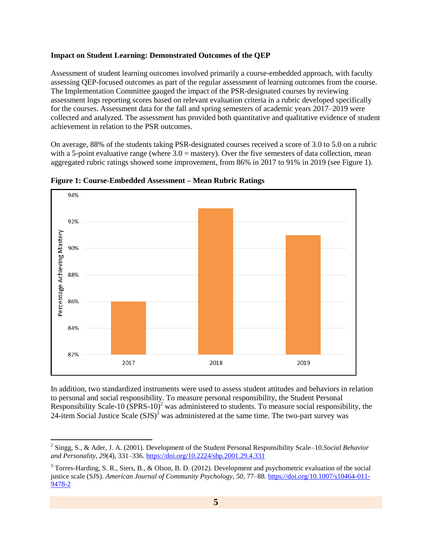#### **Impact on Student Learning: Demonstrated Outcomes of the QEP**

Assessment of student learning outcomes involved primarily a course-embedded approach, with faculty assessing QEP-focused outcomes as part of the regular assessment of learning outcomes from the course. The Implementation Committee gauged the impact of the PSR-designated courses by reviewing assessment logs reporting scores based on relevant evaluation criteria in a rubric developed specifically for the courses. Assessment data for the fall and spring semesters of academic years 2017–2019 were collected and analyzed. The assessment has provided both quantitative and qualitative evidence of student achievement in relation to the PSR outcomes.

On average, 88% of the students taking PSR-designated courses received a score of 3.0 to 5.0 on a rubric with a 5-point evaluative range (where  $3.0 =$  mastery). Over the five semesters of data collection, mean aggregated rubric ratings showed some improvement, from 86% in 2017 to 91% in 2019 (see Figure 1).



**Figure 1: Course-Embedded Assessment – Mean Rubric Ratings**

 $\overline{a}$ 

In addition, two standardized instruments were used to assess student attitudes and behaviors in relation to personal and social responsibility. To measure personal responsibility, the Student Personal Responsibility Scale-10  $(SPRS-10)^2$  was administered to students. To measure social responsibility, the 24-item Social Justice Scale  $(SJS)^3$  was administered at the same time. The two-part survey was

<sup>2</sup> Singg, S., & Ader, J. A. (2001). Development of the Student Personal Responsibility Scale–10.*Social Behavior and Personality*, *29*(4), 331–336.<https://doi.org/10.2224/sbp.2001.29.4.331>

<sup>3</sup> Torres-Harding, S. R., Siers, B., & Olson, B. D. (2012). Development and psychometric evaluation of the social justice scale (SJS). *American Journal of Community Psychology*, *50*, 77–88[. https://doi.org/10.1007/s10464-011-](https://doi.org/10.1007/s10464-011-9478-2) [9478-2](https://doi.org/10.1007/s10464-011-9478-2)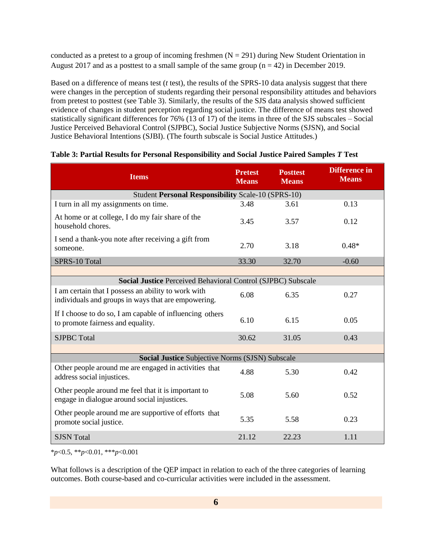conducted as a pretest to a group of incoming freshmen  $(N = 291)$  during New Student Orientation in August 2017 and as a posttest to a small sample of the same group  $(n = 42)$  in December 2019.

Based on a difference of means test (*t* test), the results of the SPRS-10 data analysis suggest that there were changes in the perception of students regarding their personal responsibility attitudes and behaviors from pretest to posttest (see Table 3). Similarly, the results of the SJS data analysis showed sufficient evidence of changes in student perception regarding social justice. The difference of means test showed statistically significant differences for 76% (13 of 17) of the items in three of the SJS subscales – Social Justice Perceived Behavioral Control (SJPBC), Social Justice Subjective Norms (SJSN), and Social Justice Behavioral Intentions (SJBI). (The fourth subscale is Social Justice Attitudes.)

| <b>Items</b>                                                                                               | <b>Pretest</b><br><b>Means</b> | <b>Posttest</b><br><b>Means</b> | <b>Difference</b> in<br><b>Means</b> |  |  |  |  |
|------------------------------------------------------------------------------------------------------------|--------------------------------|---------------------------------|--------------------------------------|--|--|--|--|
| Student Personal Responsibility Scale-10 (SPRS-10)                                                         |                                |                                 |                                      |  |  |  |  |
| I turn in all my assignments on time.                                                                      | 3.48                           | 3.61                            | 0.13                                 |  |  |  |  |
| At home or at college, I do my fair share of the<br>household chores.                                      | 3.45                           | 3.57                            | 0.12                                 |  |  |  |  |
| I send a thank-you note after receiving a gift from<br>someone.                                            | 2.70                           | 3.18                            | $0.48*$                              |  |  |  |  |
| SPRS-10 Total                                                                                              | 33.30                          | 32.70                           | $-0.60$                              |  |  |  |  |
|                                                                                                            |                                |                                 |                                      |  |  |  |  |
| <b>Social Justice Perceived Behavioral Control (SJPBC) Subscale</b>                                        |                                |                                 |                                      |  |  |  |  |
| I am certain that I possess an ability to work with<br>individuals and groups in ways that are empowering. | 6.08                           | 6.35                            | 0.27                                 |  |  |  |  |
| If I choose to do so, I am capable of influencing others<br>to promote fairness and equality.              | 6.10                           | 6.15                            | 0.05                                 |  |  |  |  |
| <b>SJPBC</b> Total                                                                                         | 30.62                          | 31.05                           | 0.43                                 |  |  |  |  |
| Social Justice Subjective Norms (SJSN) Subscale                                                            |                                |                                 |                                      |  |  |  |  |
| Other people around me are engaged in activities that<br>address social injustices.                        | 4.88                           | 5.30                            | 0.42                                 |  |  |  |  |
| Other people around me feel that it is important to<br>engage in dialogue around social injustices.        | 5.08                           | 5.60                            | 0.52                                 |  |  |  |  |
| Other people around me are supportive of efforts that<br>promote social justice.                           | 5.35                           | 5.58                            | 0.23                                 |  |  |  |  |
| <b>SJSN</b> Total                                                                                          | 21.12                          | 22.23                           | 1.11                                 |  |  |  |  |

| Table 3: Partial Results for Personal Responsibility and Social Justice Paired Samples T Test |  |  |  |
|-----------------------------------------------------------------------------------------------|--|--|--|
|-----------------------------------------------------------------------------------------------|--|--|--|

\**p*<0.5, \*\**p*<0.01, \*\*\**p*<0.001

What follows is a description of the QEP impact in relation to each of the three categories of learning outcomes. Both course-based and co-curricular activities were included in the assessment.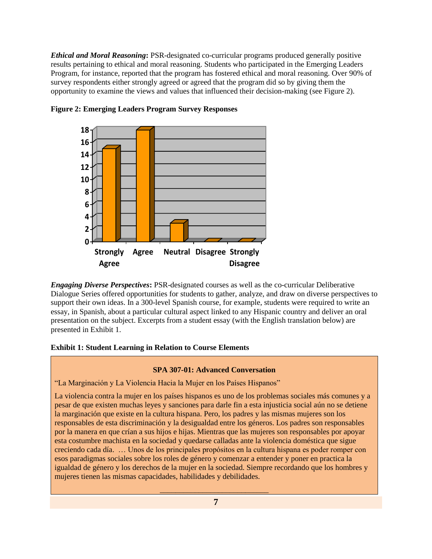*Ethical and Moral Reasoning***:** PSR-designated co-curricular programs produced generally positive results pertaining to ethical and moral reasoning. Students who participated in the Emerging Leaders Program, for instance, reported that the program has fostered ethical and moral reasoning. Over 90% of survey respondents either strongly agreed or agreed that the program did so by giving them the opportunity to examine the views and values that influenced their decision-making (see Figure 2).



**Figure 2: Emerging Leaders Program Survey Responses**

*Engaging Diverse Perspectives***:** PSR-designated courses as well as the co-curricular Deliberative Dialogue Series offered opportunities for students to gather, analyze, and draw on diverse perspectives to support their own ideas. In a 300-level Spanish course, for example, students were required to write an essay, in Spanish, about a particular cultural aspect linked to any Hispanic country and deliver an oral presentation on the subject. Excerpts from a student essay (with the English translation below) are presented in Exhibit 1.

#### **Exhibit 1: Student Learning in Relation to Course Elements**

#### **SPA 307-01: Advanced Conversation**

"La Marginación y La Violencia Hacia la Mujer en los Países Hispanos"

La violencia contra la mujer en los países hispanos es uno de los problemas sociales más comunes y a pesar de que existen muchas leyes y sanciones para darle fin a esta injusticia social aún no se detiene la marginación que existe en la cultura hispana. Pero, los padres y las mismas mujeres son los responsables de esta discriminación y la desigualdad entre los géneros. Los padres son responsables por la manera en que crían a sus hijos e hijas. Mientras que las mujeres son responsables por apoyar esta costumbre machista en la sociedad y quedarse calladas ante la violencia doméstica que sigue creciendo cada día. … Unos de los principales propósitos en la cultura hispana es poder romper con esos paradigmas sociales sobre los roles de género y comenzar a entender y poner en practica la igualdad de género y los derechos de la mujer en la sociedad. Siempre recordando que los hombres y mujeres tienen las mismas capacidades, habilidades y debilidades.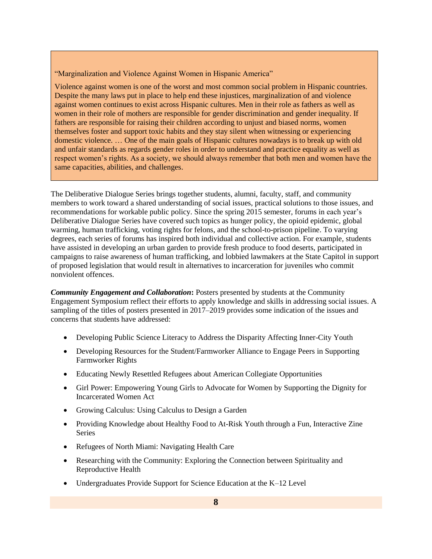"Marginalization and Violence Against Women in Hispanic America"

Violence against women is one of the worst and most common social problem in Hispanic countries. Despite the many laws put in place to help end these injustices, marginalization of and violence against women continues to exist across Hispanic cultures. Men in their role as fathers as well as women in their role of mothers are responsible for gender discrimination and gender inequality. If fathers are responsible for raising their children according to unjust and biased norms, women themselves foster and support toxic habits and they stay silent when witnessing or experiencing domestic violence. … One of the main goals of Hispanic cultures nowadays is to break up with old and unfair standards as regards gender roles in order to understand and practice equality as well as respect women's rights. As a society, we should always remember that both men and women have the same capacities, abilities, and challenges.

The Deliberative Dialogue Series brings together students, alumni, faculty, staff, and community members to work toward a shared understanding of social issues, practical solutions to those issues, and recommendations for workable public policy. Since the spring 2015 semester, forums in each year's Deliberative Dialogue Series have covered such topics as hunger policy, the opioid epidemic, global warming, human trafficking, voting rights for felons, and the school-to-prison pipeline. To varying degrees, each series of forums has inspired both individual and collective action. For example, students have assisted in developing an urban garden to provide fresh produce to food deserts, participated in campaigns to raise awareness of human trafficking, and lobbied lawmakers at the State Capitol in support of proposed legislation that would result in alternatives to incarceration for juveniles who commit nonviolent offences.

*Community Engagement and Collaboration***:** Posters presented by students at the Community Engagement Symposium reflect their efforts to apply knowledge and skills in addressing social issues. A sampling of the titles of posters presented in 2017–2019 provides some indication of the issues and concerns that students have addressed:

- Developing Public Science Literacy to Address the Disparity Affecting Inner-City Youth
- Developing Resources for the Student/Farmworker Alliance to Engage Peers in Supporting Farmworker Rights
- Educating Newly Resettled Refugees about American Collegiate Opportunities
- Girl Power: Empowering Young Girls to Advocate for Women by Supporting the Dignity for Incarcerated Women Act
- Growing Calculus: Using Calculus to Design a Garden
- Providing Knowledge about Healthy Food to At-Risk Youth through a Fun, Interactive Zine **Series**
- Refugees of North Miami: Navigating Health Care
- Researching with the Community: Exploring the Connection between Spirituality and Reproductive Health
- Undergraduates Provide Support for Science Education at the K–12 Level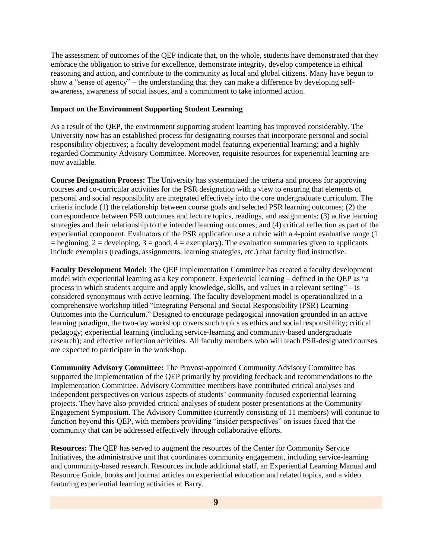The assessment of outcomes of the QEP indicate that, on the whole, students have demonstrated that they embrace the obligation to strive for excellence, demonstrate integrity, develop competence in ethical reasoning and action, and contribute to the community as local and global citizens. Many have begun to show a "sense of agency" – the understanding that they can make a difference by developing selfawareness, awareness of social issues, and a commitment to take informed action.

#### **Impact on the Environment Supporting Student Learning**

As a result of the QEP, the environment supporting student learning has improved considerably. The University now has an established process for designating courses that incorporate personal and social responsibility objectives; a faculty development model featuring experiential learning; and a highly regarded Community Advisory Committee. Moreover, requisite resources for experiential learning are now available.

**Course Designation Process:** The University has systematized the criteria and process for approving courses and co-curricular activities for the PSR designation with a view to ensuring that elements of personal and social responsibility are integrated effectively into the core undergraduate curriculum. The criteria include (1) the relationship between course goals and selected PSR learning outcomes; (2) the correspondence between PSR outcomes and lecture topics, readings, and assignments; (3) active learning strategies and their relationship to the intended learning outcomes; and (4) critical reflection as part of the experiential component. Evaluators of the PSR application use a rubric with a 4-point evaluative range (1  $=$  beginning,  $2 =$  developing,  $3 =$  good,  $4 =$  exemplary). The evaluation summaries given to applicants include exemplars (readings, assignments, learning strategies, etc.) that faculty find instructive.

**Faculty Development Model:** The QEP Implementation Committee has created a faculty development model with experiential learning as a key component. Experiential learning – defined in the QEP as "a process in which students acquire and apply knowledge, skills, and values in a relevant setting" – is considered synonymous with active learning. The faculty development model is operationalized in a comprehensive workshop titled "Integrating Personal and Social Responsibility (PSR) Learning Outcomes into the Curriculum." Designed to encourage pedagogical innovation grounded in an active learning paradigm, the two-day workshop covers such topics as ethics and social responsibility; critical pedagogy; experiential learning (including service-learning and community-based undergraduate research); and effective reflection activities. All faculty members who will teach PSR-designated courses are expected to participate in the workshop.

**Community Advisory Committee:** The Provost-appointed Community Advisory Committee has supported the implementation of the QEP primarily by providing feedback and recommendations to the Implementation Committee. Advisory Committee members have contributed critical analyses and independent perspectives on various aspects of students' community-focused experiential learning projects. They have also provided critical analyses of student poster presentations at the Community Engagement Symposium. The Advisory Committee (currently consisting of 11 members) will continue to function beyond this QEP, with members providing "insider perspectives" on issues faced that the community that can be addressed effectively through collaborative efforts.

**Resources:** The QEP has served to augment the resources of the Center for Community Service Initiatives, the administrative unit that coordinates community engagement, including service-learning and community-based research. Resources include additional staff, an Experiential Learning Manual and Resource Guide, books and journal articles on experiential education and related topics, and a video featuring experiential learning activities at Barry.